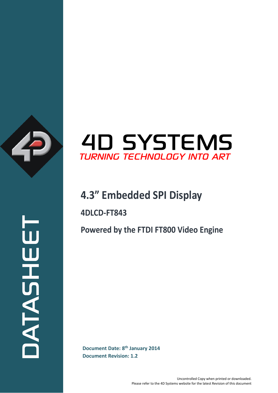

## **4D SYSTEMS** TURNING TECHNOLOGY INTO ART

## **4.3" Embedded SPI Display**

**4DLCD-FT843**

**Powered by the FTDI FT800 Video Engine**

**Document Date: 8<sup>th</sup> January 2014**<br>Document Revision: 1.2 **Document Revision: 1.2**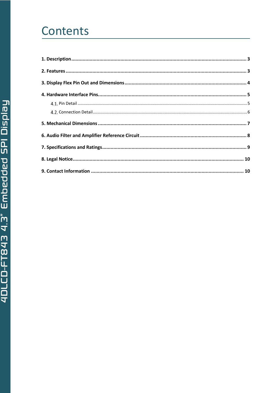# Contents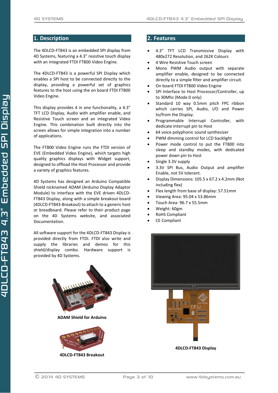## <span id="page-2-0"></span>**1. Description**

The 4DLCD-FT843 is an embedded SPI display from 4D Systems, featuring a 4.3" resistive touch display with an integrated FTDI FT800 Video Engine.

The 4DLCD-FT843 is a powerful SPI Display which enables a SPI host to be connected directly to the display, providing a powerful set of graphics features to the host using the on board FTDI FT800 Video Engine.

This display provides 4 in one functionality, a 4.3" TFT LCD Display, Audio with amplifier enable, and Resistive Touch screen and an integrated Video Engine. This combination built directly into the screen allows for simple integration into a number of applications.

The FT800 Video Engine runs the FTDI version of EVE (Embedded Video Engine), which targets high quality graphics displays with Widget support, designed to offload the Host Processor and provide a variety of graphics features.

4D Systems has designed an Arduino Compatible Shield nicknamed ADAM (Arduino Display Adaptor Module) to interface with the EVE driven 4DLCD-FT843 Display, along with a simple breakout board (4DLCD-FT843-Breakout) to attach to a generic host or breadboard. Please refer to their product page on the 4D Systems website, and associated Documentation.

All software support for the 4DLCD-FT843 Display is provided directly from FTDI. FTDI also write and supply the libraries and demos for this shield/display combo. Hardware support is provided by 4D Systems.



**4DLCD-FT843 Breakout**

## <span id="page-2-1"></span>**2. Features**

- 4.3" TFT LCD Transmissive Display with 480x272 Resolution, and 262K Colours
- 4 Wire Resistive Touch screen
- Mono PWM Audio output with separate amplifier enable, designed to be connected directly to a simple filter and amplifier circuit.
- On board FTDI FT800 Video Engine
- SPI Interface to Host Processor/Controller, up to 30Mhz (Mode 0 only)
- Standard 10 way 0.5mm pitch FPC ribbon which carries SPI, Audio, I/O and Power to/from the Display.
- Programmable Interrupt Controller, with dedicate Interrupt pin to Host
- 64 voice polyphonic sound synthesizer
- PWM dimming control for LCD backlight
- Power mode control to put the FT800 into sleep and standby modes, with dedicated power down pin to Host
- Single 3.3V supply
- 3.3V SPI Bus, Audio Output and amplifier Enable, not 5V tolerant.
- Display Dimensions: 105.5 x 67.2 x 4.2mm (Not including flex)
- Flex length from base of display: 57.51mm
- Viewing Area: 95.04 x 53.86mm
- Touch Area: 96.7 x 55.5mm
- Weight: 60gm
- RoHS Compliant
- CE Compliant

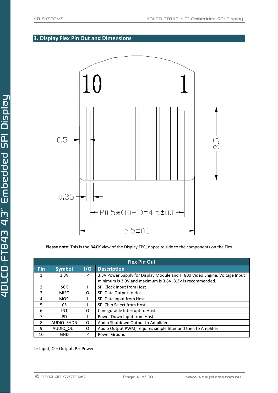## <span id="page-3-0"></span>**3. Display Flex Pin Out and Dimensions**



**Please note**: This is the **BACK** view of the Display FPC, opposite side to the components on the Flex

| <b>Flex Pin Out</b> |               |     |                                                                                                                                         |  |  |  |  |
|---------------------|---------------|-----|-----------------------------------------------------------------------------------------------------------------------------------------|--|--|--|--|
| Pin                 | <b>Symbol</b> | 1/0 | <b>Description</b>                                                                                                                      |  |  |  |  |
| 1                   | 3.3V          | P   | 3.3V Power Supply for Display Module and FT800 Video Engine. Voltage Input<br>minimum is 3.0V and maximum is 3.6V, 3.3V is recommended. |  |  |  |  |
| $\overline{2}$      | <b>SCK</b>    |     | SPI Clock Input from Host                                                                                                               |  |  |  |  |
| 3                   | <b>MISO</b>   | O   | SPI Data Output to Host                                                                                                                 |  |  |  |  |
| 4                   | <b>MOSI</b>   |     | SPI Data Input from Host                                                                                                                |  |  |  |  |
| 5                   | CS.           |     | SPI Chip Select from Host                                                                                                               |  |  |  |  |
| 6                   | <b>INT</b>    | O   | Configurable Interrupt to Host                                                                                                          |  |  |  |  |
| 7                   | PD.           |     | Power Down Input from Host                                                                                                              |  |  |  |  |
| 8                   | AUDIO SHDN    | O   | Audio Shutdown Output to Amplifier                                                                                                      |  |  |  |  |
| 9                   | AUDIO OUT     | O   | Audio Output PWM, requires simple filter and then to Amplifier                                                                          |  |  |  |  |
| 10                  | <b>GND</b>    | P   | Power Ground                                                                                                                            |  |  |  |  |

I = Input, O = Output, P = Power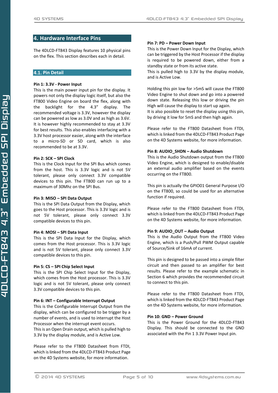## <span id="page-4-0"></span>**4. Hardware Interface Pins**

The 4DLCD-FT843 Display features 10 physical pins on the flex. This section describes each in detail.

#### <span id="page-4-1"></span>**Pin Detail**

#### **Pin 1: 3.3V - Power Input**

This is the main power input pin for the display. It powers not only the display logic itself, but also the FT800 Video Engine on board the flex, along with the backlight for the 4.3" display. The recommended voltage is 3.3V, however the display can be powered as low as 3.0V and as high as 3.6V. It is however highly recommended to stay at 3.3V for best results. This also enables interfacing with a 3.3V host processor easier, along with the interface to a micro-SD or SD card, which is also recommended to be at 3.3V.

#### **Pin 2: SCK – SPI Clock**

This is the Clock Input for the SPI Bus which comes from the host. This is 3.3V logic and is not 5V tolerant, please only connect 3.3V compatible devices to this pin. The FT800 can run up to a maximum of 30Mhz on the SPI Bus.

#### **Pin 3: MISO – SPI Data Output**

This is the SPI Data Output from the Display, which goes to the Host processor. This is 3.3V logic and is not 5V tolerant, please only connect 3.3V compatible devices to this pin.

#### **Pin 4: MOSI – SPI Data Input**

This is the SPI Data Input for the Display, which comes from the Host processor. This is 3.3V logic and is not 5V tolerant, please only connect 3.3V compatible devices to this pin.

#### **Pin 5: CS – SPI Chip Select Input**

This is the SPI Chip Select Input for the Display, which comes from the Host processor. This is 3.3V logic and is not 5V tolerant, please only connect 3.3V compatible devices to this pin.

#### **Pin 6: INT – Configurable Interrupt Output**

This is the Configurable Interrupt Output from the display, which can be configured to be trigger by a number of events, and is used to interrupt the Host Processor when the interrupt event occurs. This is an Open Drain output, which is pulled high to 3.3V by the display module, and is Active Low.

Please refer to the FT800 Datasheet from FTDI, which is linked from the 4DLCD-FT843 Product Page on the 4D Systems website, for more information.

#### **Pin 7: PD – Power Down Input**

This is the Power Down Input for the Display, which can be triggered by the Host Processor if the display is required to be powered down, either from a standby state or from its active state.

This is pulled high to 3.3V by the display module, and is Active Low.

Holding this pin low for >5mS will cause the FT800 Video Engine to shut down and go into a powered down state. Releasing this low or driving the pin High will cause the display to start up again. It is also possible to reset the display using this pin, by driving it low for 5mS and then high again.

Please refer to the FT800 Datasheet from FTDI, which is linked from the 4DLCD-FT843 Product Page on the 4D Systems website, for more information.

#### **Pin 8: AUDIO\_SHDN – Audio Shutdown**

This is the Audio Shutdown output from the FT800 Video Engine, which is designed to enable/disable an external audio amplifier based on the events occurring on the FT800.

This pin is actually the GPIO01 General Purpose I/O on the FT800, so could be used for an alternative function if required.

Please refer to the FT800 Datasheet from FTDI, which is linked from the 4DLCD-FT843 Product Page on the 4D Systems website, for more information.

#### **Pin 9: AUDIO\_OUT – Audio Output**

This is the Audio Output from the FT800 Video Engine, which is a Push/Pull PWM Output capable of Source/Sink of 16mA of current.

This pin is designed to be passed into a simple filter circuit and then passed to an amplifier for best results. Please refer to the example schematic in Section 6 which provides the recommended circuit to connect to this pin.

Please refer to the FT800 Datasheet from FTDI, which is linked from the 4DLCD-FT843 Product Page on the 4D Systems website, for more information.

#### **Pin 10: GND – Power Ground**

This is the Power Ground for the 4DLCD-FT843 Display. This should be connected to the GND associated with the Pin 1 3.3V Power Input pin.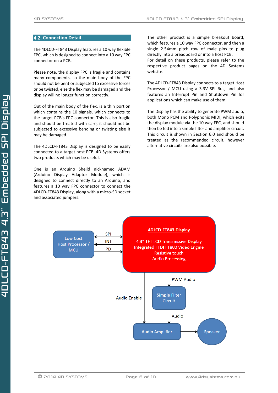#### <span id="page-5-0"></span>**4.2. Connection Detail**

The 4DLCD-FT843 Display features a 10 way flexible FPC, which is designed to connect into a 10 way FPC connector on a PCB.

Please note, the display FPC is fragile and contains many components, so the main body of the FPC should not be bent or subjected to excessive forces or be twisted, else the flex may be damaged and the display will no longer function correctly.

Out of the main body of the flex, is a thin portion which contains the 10 signals, which connects to the target PCB's FPC connector. This is also fragile and should be treated with care, it should not be subjected to excessive bending or twisting else it may be damaged.

The 4DLCD-FT843 Display is designed to be easily connected to a target host PCB. 4D Systems offers two products which may be useful.

One is an Arduino Sheild nicknamed ADAM (Arduino Display Adaptor Module), which is designed to connect directly to an Arduino, and features a 10 way FPC connector to connect the 4DLCD-FT843 Display, along with a micro-SD socket and associated jumpers.

The other product is a simple breakout board, which features a 10 way FPC connector, and then a single 2.54mm pitch row of male pins to plug directly into a breadboard or into a host PCB. For detail on these products, please refer to the respective product pages on the 4D Systems website.

The 4DLCD-FT843 Display connects to a target Host Processor / MCU using a 3.3V SPI Bus, and also features an Interrupt Pin and Shutdown Pin for applications which can make use of them.

The Display has the ability to generate PWM audio, both Mono PCM and Polyphonic MIDI, which exits the display module via the 10 way FPC, and should then be fed into a simple filter and amplifier circuit. This circuit is shown in Section 6.0 and should be treated as the recommended circuit, however alternative circuits are also possible.

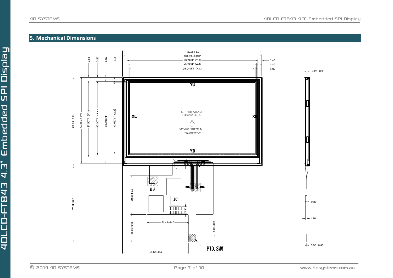## **5. Mechanical Dimensions**

<span id="page-6-0"></span>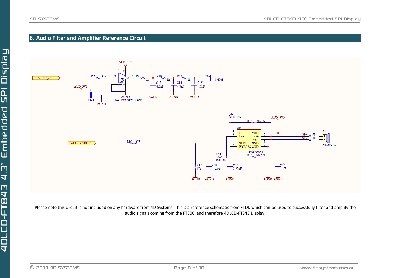## **6. Audio Filter and Amplifier Reference Circuit**



<span id="page-7-0"></span>Please note this circuit is not included on any hardware from 4D Systems. This is a reference schematic from FTDI, which can be used to successfully filter and amplify the audio signals coming from the FT800, and therefore 4DLCD-FT843 Display.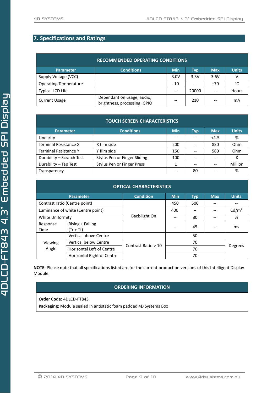## <span id="page-8-0"></span>**7. Specifications and Ratings**

| <b>RECOMMENDED OPERATING CONDITIONS</b> |                                                            |            |            |            |              |  |
|-----------------------------------------|------------------------------------------------------------|------------|------------|------------|--------------|--|
| <b>Parameter</b>                        | <b>Conditions</b>                                          | <b>Min</b> | <b>Typ</b> | <b>Max</b> | <b>Units</b> |  |
| Supply Voltage (VCC)                    |                                                            | 3.0V       | 3.3V       | 3.6V       | ٧            |  |
| <b>Operating Temperature</b>            |                                                            | -10        |            | $+70$      | °C           |  |
| Typical LCD Life                        |                                                            | --         | 20000      |            | <b>Hours</b> |  |
| <b>Current Usage</b>                    | Dependant on usage, audio,<br>brightness, processing, GPIO | --         | 210        |            | mA           |  |

| <b>TOUCH SCREEN CHARACTERISTICS</b> |                              |            |            |            |              |
|-------------------------------------|------------------------------|------------|------------|------------|--------------|
| <b>Parameter</b>                    | <b>Conditions</b>            | <b>Min</b> | <b>Typ</b> | <b>Max</b> | <b>Units</b> |
| Linearity                           |                              | --         |            | < 1.5      | %            |
| Terminal Resistance X               | X film side                  | 200        |            | 850        | Ohm          |
| <b>Terminal Resistance Y</b>        | Y film side                  | 150        |            | 580        | Ohm          |
| Durability - Scratch Test           | Stylus Pen or Finger Sliding | 100        |            |            | К            |
| Durability - Tap Test               | Stylus Pen or Finger Press   | 1          |            |            | Million      |
| Transparency                        |                              | $- -$      | 80         | --         | %            |

| <b>OPTICAL CHARACTERISTICS</b>    |                                  |                     |            |            |            |                   |
|-----------------------------------|----------------------------------|---------------------|------------|------------|------------|-------------------|
|                                   | <b>Parameter</b>                 | <b>Condition</b>    | <b>Min</b> | <b>Typ</b> | <b>Max</b> | <b>Units</b>      |
|                                   | Contrast ratio (Centre point)    |                     | 450        | 500        |            |                   |
| Luminance of white (Centre point) |                                  | Back-light On       | 400        |            |            | Cd/m <sup>2</sup> |
| White Uniformity                  |                                  |                     |            | 80         |            | %                 |
| Response<br>Time                  | Rising + Falling<br>$(Tr + Tf)$  |                     |            | 45         |            | ms                |
| Viewing<br>Angle                  | Vertical above Centre            |                     |            | 50         |            |                   |
|                                   | <b>Vertical below Centre</b>     |                     | 70         |            |            | <b>Degrees</b>    |
|                                   | <b>Horizontal Left of Centre</b> | Contrast Ratio > 10 | 70         |            |            |                   |
|                                   | Horizontal Right of Centre       |                     | 70         |            |            |                   |

**NOTE:** Please note that all specifications listed are for the current production versions of this Intelligent Display Module.

## **ORDERING INFORMATION**

**Order Code:** 4DLCD-FT843

**Packaging:** Module sealed in antistatic foam padded 4D Systems Box